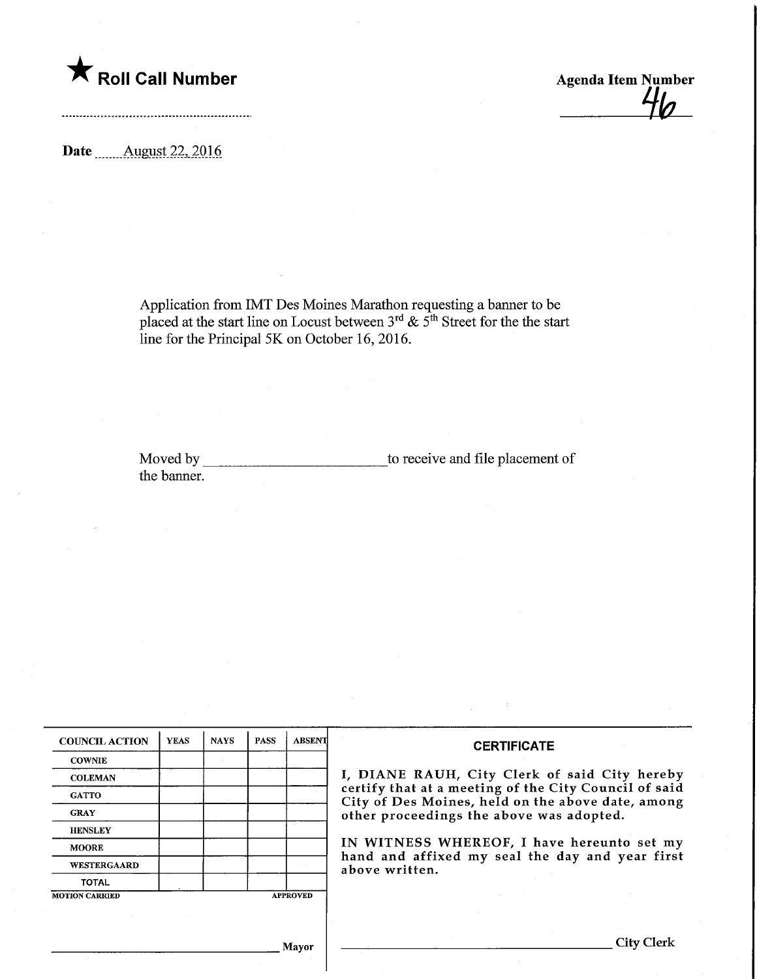

Agenda Item Number

Date ........August 22^2016

Application from IMT Des Moines Marathon requesting a banner to be placed at the start line on Locust between  $3^{rd}$  &  $5^{tn}$  Street for the the star line for the Principal 5K on October 16, 2016.

Moved by the banner. to receive and file placement of

| <b>COUNCIL ACTION</b> | <b>YEAS</b> | <b>NAYS</b> | <b>PASS</b> | <b>ABSENT</b>   |                                                                                                                                                             |  |  |
|-----------------------|-------------|-------------|-------------|-----------------|-------------------------------------------------------------------------------------------------------------------------------------------------------------|--|--|
|                       |             |             |             |                 | <b>CERTIFICATE</b><br>I, DIANE RAUH, City Clerk of said City hereby                                                                                         |  |  |
| <b>COWNIE</b>         |             |             |             |                 |                                                                                                                                                             |  |  |
| <b>COLEMAN</b>        |             |             |             |                 |                                                                                                                                                             |  |  |
| <b>GATTO</b>          |             |             |             |                 | certify that at a meeting of the City Council of said<br>City of Des Moines, held on the above date, among                                                  |  |  |
| <b>GRAY</b>           |             |             |             |                 | other proceedings the above was adopted.<br>IN WITNESS WHEREOF, I have hereunto set my<br>hand and affixed my seal the day and year first<br>above written. |  |  |
| <b>HENSLEY</b>        |             |             |             |                 |                                                                                                                                                             |  |  |
| <b>MOORE</b>          |             |             |             |                 |                                                                                                                                                             |  |  |
| WESTERGAARD           |             |             |             |                 |                                                                                                                                                             |  |  |
| <b>TOTAL</b>          |             |             |             |                 |                                                                                                                                                             |  |  |
| <b>MOTION CARRIED</b> |             |             |             | <b>APPROVED</b> |                                                                                                                                                             |  |  |
|                       |             |             |             |                 |                                                                                                                                                             |  |  |
|                       |             |             |             | Mayor           | City Clerk                                                                                                                                                  |  |  |

Mayor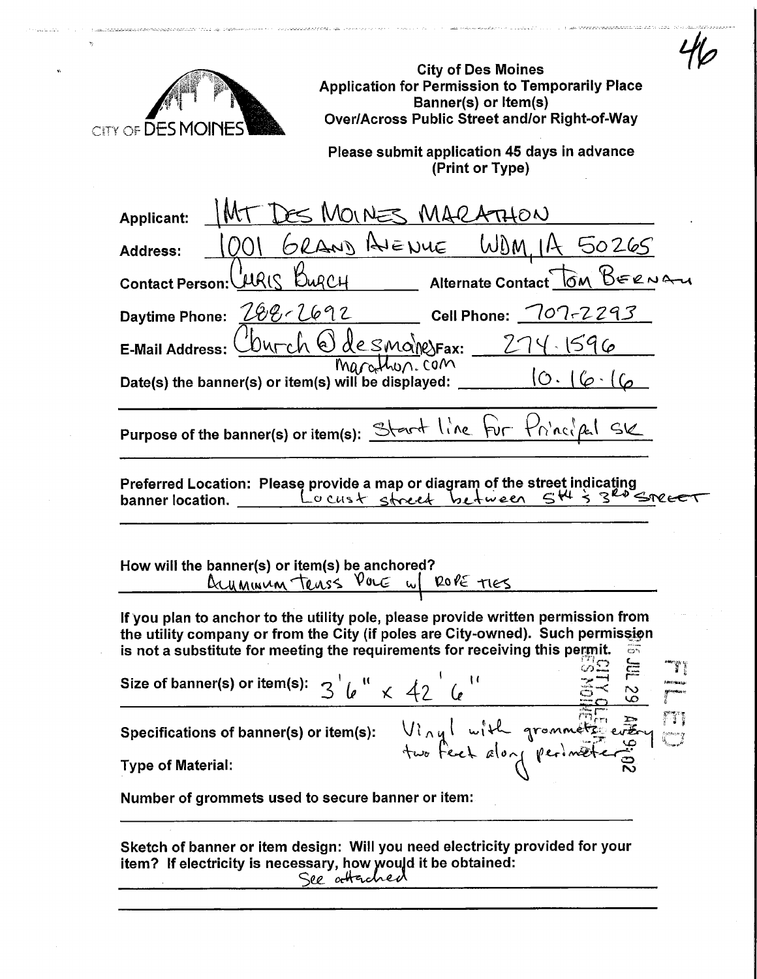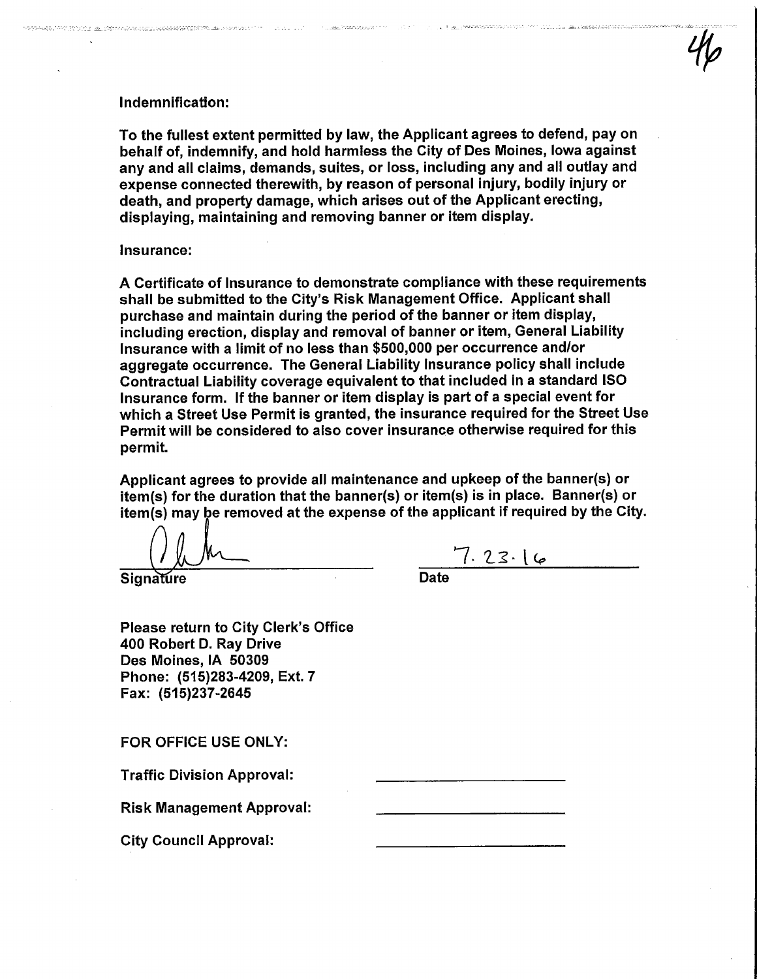## Indemnification:

To the fullest extent permitted by law, the Applicant agrees to defend, pay on behalf of, indemnify, and hold harmless the City of Des Moines, Iowa against any and all claims, demands, suites, or loss, including any and all outlay and expense connected therewith, by reason of personal injury, bodily injury or death, and property damage, which arises out of the Applicant erecting, displaying, maintaining and removing banner or item display.

## Insurance:

A Certificate of Insurance to demonstrate compliance with these requirements shall be submitted to the City's Risk Management Office. Applicant shall purchase and maintain during the period of the banner or item display, including erection, display and removal of banner or item, General Liability Insurance with a limit of no less than \$500,000 per occurrence and/or aggregate occurrence. The General Liability Insurance policy shall include Contractual Liability coverage equivalent to that included in a standard ISO Insurance form. If the banner or item display is part of a special event for which a Street Use Permit is granted, the insurance required for the Street Use Permit will be considered to also cover insurance otherwise required for this permit.

Applicant agrees to provide all maintenance and upkeep of the banner(s) or item(s) for the duration that the banner(s) or item(s) is in place. Banner(s) or item(s) may be removed at the expense of the applicant if required by the City.

<u>UMC</u><br>Signature Date

 $1.23.6$ 

Please return to City Clerk's Office 400 Robert D. Ray Drive Des Moines, IA 50309 Phone: (515)283-4209, Ext. 7 Fax: (515)237-2645

FOR OFFICE USE ONLY:

Traffic Division Approval:

Risk Management Approval:

City Council Approval: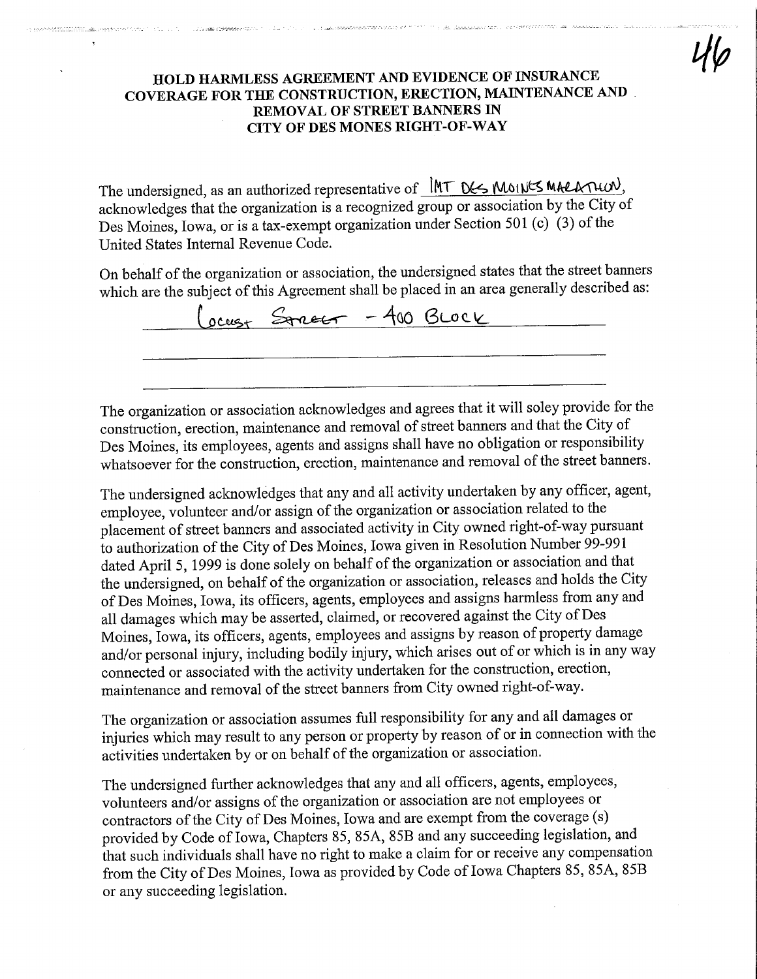## HOLD HARMLESS AGREEMENT AND EVIDENCE OF INSURANCE COVERAGE FOR THE CONSTRUCTION, ERECTION, MAINTENANCE AND REMOVAL OF STREET BANNERS IN CITY OF DES MONES RIGHT-OF-WAY

**The Castle Constitution of the Constitution** 

 $\overline{\mathcal{W}}$ 

The undersigned, as an authorized representative of  $IMT$  DES MOINES MALATHON, acknowledges that the organization is a recognized group or association by the City of Des Moines, Iowa, or is a tax-exempt organization under Section 501 (c) (3) of the United States Internal Revenue Code.

On behalf of the organization or association, the undersigned states that the street banners which are the subject of this Agreement shall be placed in an area generally described as:

 $_{0}$  $_{0}$   $_{0}$   $_{0}$   $_{0}$   $_{0}$   $_{0}$   $_{0}$   $_{0}$   $_{0}$   $_{0}$   $_{0}$   $_{0}$   $_{0}$   $_{0}$   $_{0}$   $_{0}$   $_{0}$   $_{0}$   $_{0}$   $_{0}$   $_{0}$   $_{0}$   $_{0}$   $_{0}$   $_{0}$   $_{0}$   $_{0}$   $_{0}$   $_{0}$   $_{0}$   $_{0}$   $_{0}$   $_{0}$   $_{0}$   $_{0}$   $_{0}$ 

The organization or association acknowledges and agrees that it will soley provide for the construction, erection, maintenance and removal of street banners and that the City of Des Moines, its employees, agents and assigns shall have no obligation or responsibility whatsoever for the construction, erection, maintenance and removal of the street banners.

The undersigned acknowledges that any and all activity undertaken by any officer, agent, employee, volunteer and/or assign of the organization or association related to the placement of street banners and associated activity in City owned right-of-way pursuant to authorization of the City of Des Moines, Iowa given in Resolution Number 99-991 dated April 5, 1999 is done solely on behalf of the organization or association and that the undersigned, on behalf of the organization or association, releases and holds the City ofDes Moines, Iowa, its officers, agents, employees and assigns harmless from any and all damages which may be asserted, claimed, or recovered against the City of Des Moines, Iowa, its officers, agents, employees and assigns by reason of property damage and/or personal injury, including bodily injury, which arises out of or which is in any way connected or associated with the activity undertaken for the construction, erection, maintenance and removal of the street banners from City owned right-of-way.

The organization or association assumes full responsibility for any and all damages or injuries which may result to any person or property by reason of or in connection with the activities undertaken by or on behalf of the organization or association.

The undersigned further acknowledges that any and all officers, agents, employees, volunteers and/or assigns of the organization or association are not employees or contractors of the City of Des Moines, Iowa and are exempt from the coverage (s) provided by Code of Iowa, Chapters 85, 85A, 85B and any succeeding legislation, and that such individuals shall have no right to make a claim for or receive any compensation from the City of Des Moines, Iowa as provided by Code of Iowa Chapters 85, 85A, 85B or any succeeding legislation.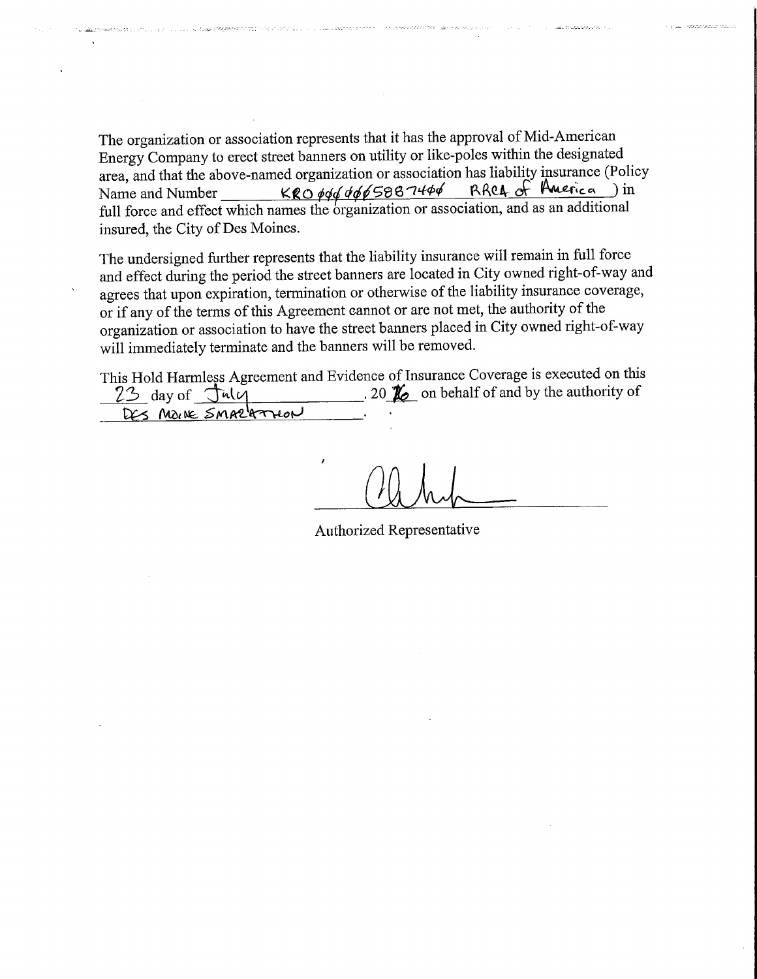The organization or association represents that it has the approval of Mid-American Energy Company to erect street banners on utility or like-poles within the designated area, and that the above-named organization or association has liability insurance (Policy Name and Number \_\_\_\_\_\_\_\_ KRO 696 4665887466 RRCA of America) in full force and effect which names the organization or association, and as an additional insured, the City of Des Moines.

**The Construction Common** 

The undersigned farther represents that the liability insurance will remain in full force and effect during the period the street banners are located in City owned right-of-way and agrees that upon expiration, termination or otherwise of the liability insurance coverage, or if any of the terms of this Agreement cannot or are not met, the authority of the organization or association to have the street banners placed in City owned right-of-way will immediately terminate and the banners will be removed.

This Hold Harmless Agreement and Evidence of Insurance Coverage is executed on this  $23$  day of  $\int \ln |\psi|$ . 20  $\chi$  on behalf of and by the authority of  $\sim$  20  $\%$  on behalf of and by the authority of  $Dcs$  Maine  $Smaz$ arreon

Authorized Representative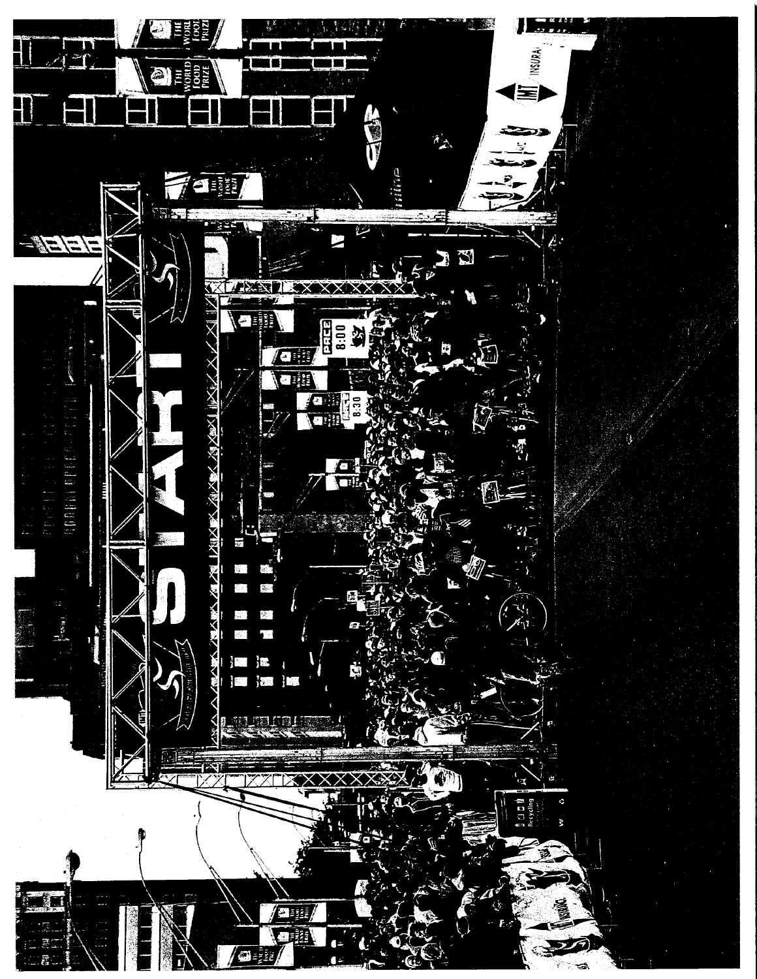